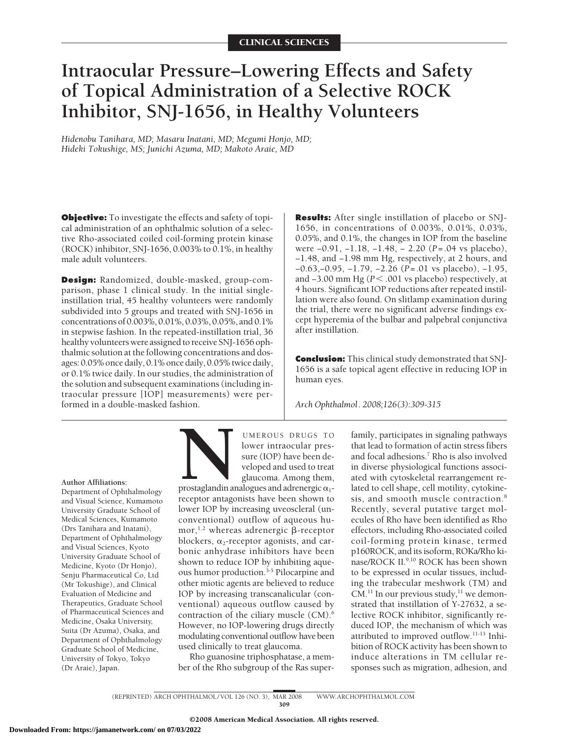# **Intraocular Pressure–Lowering Effects and Safety of Topical Administration of a Selective ROCK Inhibitor, SNJ-1656, in Healthy Volunteers**

*Hidenobu Tanihara, MD; Masaru Inatani, MD; Megumi Honjo, MD; Hideki Tokushige, MS; Junichi Azuma, MD; Makoto Araie, MD*

**Objective:** To investigate the effects and safety of topical administration of an ophthalmic solution of a selective Rho-associated coiled coil-forming protein kinase (ROCK) inhibitor, SNJ-1656, 0.003% to 0.1%, in healthy male adult volunteers.

**Design:** Randomized, double-masked, group-comparison, phase 1 clinical study. In the initial singleinstillation trial, 45 healthy volunteers were randomly subdivided into 5 groups and treated with SNJ-1656 in concentrations of 0.003%, 0.01%, 0.03%, 0.05%, and 0.1% in stepwise fashion. In the repeated-instillation trial, 36 healthy volunteers were assigned to receive SNJ-1656 ophthalmic solution at the following concentrations and dosages: 0.05% once daily, 0.1% once daily, 0.05% twice daily, or 0.1% twice daily. In our studies, the administration of the solution and subsequent examinations (including intraocular pressure [IOP] measurements) were performed in a double-masked fashion.

**Results:** After single instillation of placebo or SNJ-1656, in concentrations of 0.003%, 0.01%, 0.03%, 0.05%, and 0.1%, the changes in IOP from the baseline were −0.91, −1.18, −1.48, − 2.20 (*P*=.04 vs placebo), −1.48, and −1.98 mm Hg, respectively, at 2 hours, and −0.63,−0.95, −1.79, −2.26 (*P*=.01 vs placebo), −1.95, and −3.00 mm Hg (*P* < .001 vs placebo) respectively, at 4 hours. Significant IOP reductions after repeated instillation were also found. On slitlamp examination during the trial, there were no significant adverse findings except hyperemia of the bulbar and palpebral conjunctiva after instillation.

**Conclusion:** This clinical study demonstrated that SNJ-1656 is a safe topical agent effective in reducing IOP in human eyes.

*Arch Ophthalmol. 2008;126(3):309-315*

#### **Author Affiliations:**

Department of Ophthalmology and Visual Science, Kumamoto University Graduate School of Medical Sciences, Kumamoto (Drs Tanihara and Inatani), Department of Ophthalmology and Visual Sciences, Kyoto University Graduate School of Medicine, Kyoto (Dr Honjo), Senju Pharmaceutical Co, Ltd (Mr Tokushige), and Clinical Evaluation of Medicine and Therapeutics, Graduate School of Pharmaceutical Sciences and Medicine, Osaka University, Suita (Dr Azuma), Osaka, and Department of Ophthalmology Graduate School of Medicine, University of Tokyo, Tokyo (Dr Araie), Japan.

UMEROUS DRUGS TO<br>
lower intraocular pressure (IOP) have been de-<br>
veloped and used to treat<br>
glaucoma. Among them,<br>
prostaglandin analogues and adrenergic  $\alpha_1$ -<br>
recentor antagonists have been shown to lower intraocular pressure (IOP) have been developed and used to treat glaucoma. Among them,

prostaglandin analogues and adrenergic  $\alpha_1$ receptor antagonists have been shown to lower IOP by increasing uveoscleral (unconventional) outflow of aqueous humor,  $1,2$  whereas adrenergic  $\beta$ -receptor blockers,  $\alpha_2$ -receptor agonists, and carbonic anhydrase inhibitors have been shown to reduce IOP by inhibiting aqueous humor production.<sup>3-5</sup> Pilocarpine and other miotic agents are believed to reduce IOP by increasing transcanalicular (conventional) aqueous outflow caused by contraction of the ciliary muscle (CM).6 However, no IOP-lowering drugs directly modulating conventional outflow have been used clinically to treat glaucoma.

Rho guanosine triphosphatase, a member of the Rho subgroup of the Ras super-

family, participates in signaling pathways that lead to formation of actin stress fibers and focal adhesions.7 Rho is also involved in diverse physiological functions associated with cytoskeletal rearrangement related to cell shape, cell motility, cytokinesis, and smooth muscle contraction.8 Recently, several putative target molecules of Rho have been identified as Rho effectors, including Rho-associated coiled coil-forming protein kinase, termed p160ROCK, and its isoform, ROKa/Rho kinase/ROCK II.9,10 ROCK has been shown to be expressed in ocular tissues, including the trabecular meshwork (TM) and  $CM.<sup>11</sup>$  In our previous study,<sup>11</sup> we demonstrated that instillation of Y-27632, a selective ROCK inhibitor, significantly reduced IOP, the mechanism of which was attributed to improved outflow.11-13 Inhibition of ROCK activity has been shown to induce alterations in TM cellular responses such as migration, adhesion, and

(REPRINTED) ARCH OPHTHALMOL / VOL 126 (NO. 3), MAR 2008 WWW.ARCHOPHTHALMOL.COM 309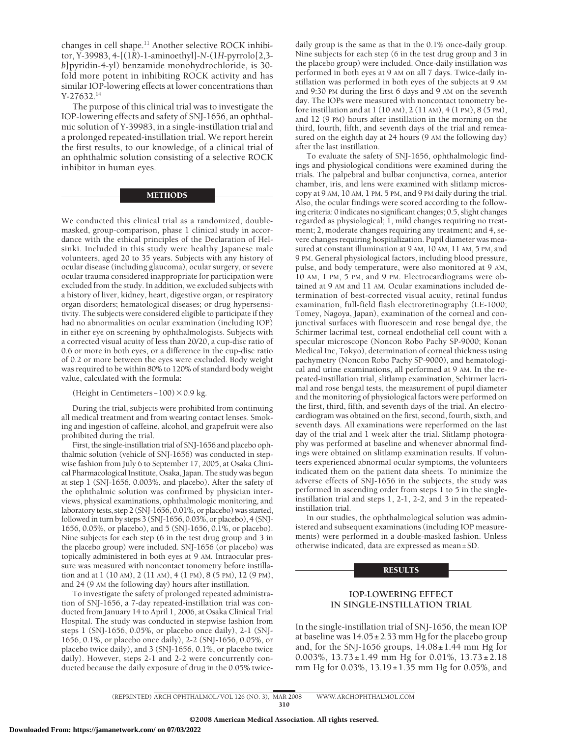changes in cell shape.11 Another selective ROCK inhibitor, Y-39983, 4-[(1*R*)-1-aminoethyl]-*N*-(1*H*-pyrrolo[2,3 *b*]pyridin-4-yl) benzamide monohydrochloride, is 30 fold more potent in inhibiting ROCK activity and has similar IOP-lowering effects at lower concentrations than Y-27632.14

The purpose of this clinical trial was to investigate the IOP-lowering effects and safety of SNJ-1656, an ophthalmic solution of Y-39983, in a single-instillation trial and a prolonged repeated-instillation trial. We report herein the first results, to our knowledge, of a clinical trial of an ophthalmic solution consisting of a selective ROCK inhibitor in human eyes.

## METHODS

We conducted this clinical trial as a randomized, doublemasked, group-comparison, phase 1 clinical study in accordance with the ethical principles of the Declaration of Helsinki. Included in this study were healthy Japanese male volunteers, aged 20 to 35 years. Subjects with any history of ocular disease (including glaucoma), ocular surgery, or severe ocular trauma considered inappropriate for participation were excluded from the study. In addition, we excluded subjects with a history of liver, kidney, heart, digestive organ, or respiratory organ disorders; hematological diseases; or drug hypersensitivity. The subjects were considered eligible to participate if they had no abnormalities on ocular examination (including IOP) in either eye on screening by ophthalmologists. Subjects with a corrected visual acuity of less than 20/20, a cup-disc ratio of 0.6 or more in both eyes, or a difference in the cup-disc ratio of 0.2 or more between the eyes were excluded. Body weight was required to be within 80% to 120% of standard body weight value, calculated with the formula:

(Height in Centimeters-100) $\times$ 0.9 kg.

During the trial, subjects were prohibited from continuing all medical treatment and from wearing contact lenses. Smoking and ingestion of caffeine, alcohol, and grapefruit were also prohibited during the trial.

First, the single-instillation trial of SNJ-1656 and placebo ophthalmic solution (vehicle of SNJ-1656) was conducted in stepwise fashion from July 6 to September 17, 2005, at Osaka Clinical Pharmacological Institute, Osaka, Japan. The study was begun at step 1 (SNJ-1656, 0.003%, and placebo). After the safety of the ophthalmic solution was confirmed by physician interviews, physical examinations, ophthalmologic monitoring, and laboratory tests, step 2 (SNJ-1656, 0.01%, or placebo) was started, followed in turn by steps 3 (SNJ-1656, 0.03%, or placebo), 4 (SNJ-1656, 0.05%, or placebo), and 5 (SNJ-1656, 0.1%, or placebo). Nine subjects for each step (6 in the test drug group and 3 in the placebo group) were included. SNJ-1656 (or placebo) was topically administered in both eyes at 9 AM. Intraocular pressure was measured with noncontact tonometry before instillation and at 1 (10 AM), 2 (11 AM), 4 (1 PM), 8 (5 PM), 12 (9 PM), and 24 (9 AM the following day) hours after instillation.

To investigate the safety of prolonged repeated administration of SNJ-1656, a 7-day repeated-instillation trial was conducted from January 14 to April 1, 2006, at Osaka Clinical Trial Hospital. The study was conducted in stepwise fashion from steps 1 (SNJ-1656, 0.05%, or placebo once daily), 2-1 (SNJ-1656, 0.1%, or placebo once daily), 2-2 (SNJ-1656, 0.05%, or placebo twice daily), and 3 (SNJ-1656, 0.1%, or placebo twice daily). However, steps 2-1 and 2-2 were concurrently conducted because the daily exposure of drug in the 0.05% twice-

daily group is the same as that in the 0.1% once-daily group. Nine subjects for each step (6 in the test drug group and 3 in the placebo group) were included. Once-daily instillation was performed in both eyes at 9 AM on all 7 days. Twice-daily instillation was performed in both eyes of the subjects at 9 AM and 9:30 PM during the first 6 days and 9 AM on the seventh day. The IOPs were measured with noncontact tonometry before instillation and at 1 (10 AM), 2 (11 AM), 4 (1 PM), 8 (5 PM), and 12 (9 PM) hours after instillation in the morning on the third, fourth, fifth, and seventh days of the trial and remeasured on the eighth day at 24 hours (9 AM the following day) after the last instillation.

To evaluate the safety of SNJ-1656, ophthalmologic findings and physiological conditions were examined during the trials. The palpebral and bulbar conjunctiva, cornea, anterior chamber, iris, and lens were examined with slitlamp microscopy at 9 AM, 10 AM, 1 PM, 5 PM, and 9 PM daily during the trial. Also, the ocular findings were scored according to the following criteria: 0 indicates no significant changes; 0.5, slight changes regarded as physiological; 1, mild changes requiring no treatment; 2, moderate changes requiring any treatment; and 4, severe changes requiring hospitalization. Pupil diameter was measured at constant illumination at 9 AM, 10 AM, 11 AM, 5 PM, and 9 PM. General physiological factors, including blood pressure, pulse, and body temperature, were also monitored at 9 AM, 10 AM, 1 PM, 5 PM, and 9 PM. Electrocardiograms were obtained at 9 AM and 11 AM. Ocular examinations included determination of best-corrected visual acuity, retinal fundus examination, full-field flash electroretinography (LE-1000; Tomey, Nagoya, Japan), examination of the corneal and conjunctival surfaces with fluorescein and rose bengal dye, the Schirmer lacrimal test, corneal endothelial cell count with a specular microscope (Noncon Robo Pachy SP-9000; Konan Medical Inc, Tokyo), determination of corneal thickness using pachymetry (Noncon Robo Pachy SP-9000), and hematological and urine examinations, all performed at 9 AM. In the repeated-instillation trial, slitlamp examination, Schirmer lacrimal and rose bengal tests, the measurement of pupil diameter and the monitoring of physiological factors were performed on the first, third, fifth, and seventh days of the trial. An electrocardiogram was obtained on the first, second, fourth, sixth, and seventh days. All examinations were reperformed on the last day of the trial and 1 week after the trial. Slitlamp photography was performed at baseline and whenever abnormal findings were obtained on slitlamp examination results. If volunteers experienced abnormal ocular symptoms, the volunteers indicated them on the patient data sheets. To minimize the adverse effects of SNJ-1656 in the subjects, the study was performed in ascending order from steps 1 to 5 in the singleinstillation trial and steps 1, 2-1, 2-2, and 3 in the repeatedinstillation trial.

In our studies, the ophthalmological solution was administered and subsequent examinations (including IOP measurements) were performed in a double-masked fashion. Unless otherwise indicated, data are expressed as mean±SD.

#### RESULTS

## **IOP-LOWERING EFFECT IN SINGLE-INSTILLATION TRIAL**

In the single-instillation trial of SNJ-1656, the mean IOP at baseline was  $14.05 \pm 2.53$  mm Hg for the placebo group and, for the SNJ-1656 groups,  $14.08 \pm 1.44$  mm Hg for 0.003%, 13.73±1.49 mm Hg for 0.01%, 13.73±2.18 mm Hg for 0.03%, 13.19±1.35 mm Hg for 0.05%, and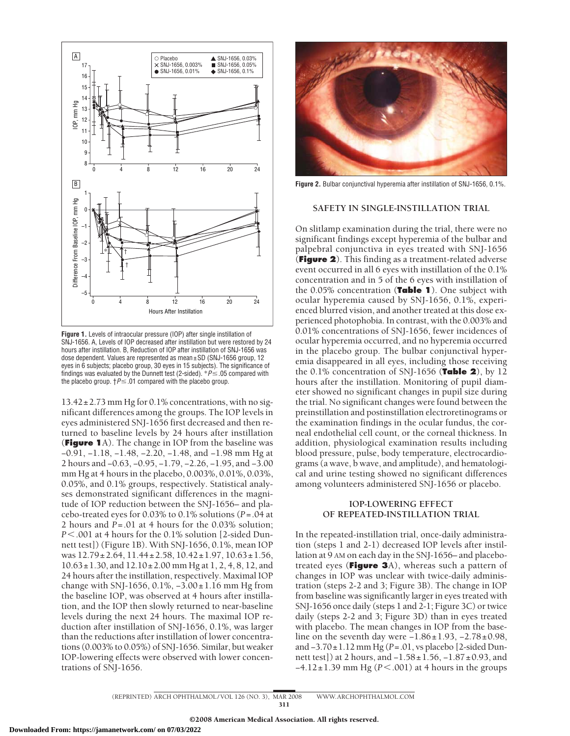

**Figure 1.** Levels of intraocular pressure (IOP) after single instillation of SNJ-1656. A, Levels of IOP decreased after instillation but were restored by 24 hours after instillation. B, Reduction of IOP after instillation of SNJ-1656 was dose dependent. Values are represented as mean±SD (SNJ-1656 group, 12 eyes in 6 subjects; placebo group, 30 eyes in 15 subjects). The significance of findings was evaluated by the Dunnett test (2-sided).  $P \le 05$  compared with the placebo group.  $\uparrow P \leq 01$  compared with the placebo group.

13.42±2.73 mm Hg for 0.1% concentrations, with no significant differences among the groups. The IOP levels in eyes administered SNJ-1656 first decreased and then returned to baseline levels by 24 hours after instillation (**Figure 1**A). The change in IOP from the baseline was −0.91, −1.18, −1.48, −2.20, −1.48, and −1.98 mm Hg at 2 hours and −0.63, −0.95, −1.79, −2.26, −1.95, and −3.00 mm Hg at 4 hours in the placebo, 0.003%, 0.01%, 0.03%, 0.05%, and 0.1% groups, respectively. Statistical analyses demonstrated significant differences in the magnitude of IOP reduction between the SNJ-1656– and placebo-treated eyes for 0.03% to 0.1% solutions (*P*=.04 at 2 hours and *P*=.01 at 4 hours for the 0.03% solution; *P*.001 at 4 hours for the 0.1% solution [2-sided Dunnett test]) (Figure 1B). With SNJ-1656, 0.1%, mean IOP was 12.79±2.64, 11.44±2.58, 10.42±1.97, 10.63±1.56, 10.63±1.30, and 12.10±2.00 mm Hg at 1, 2, 4, 8, 12, and 24 hours after the instillation, respectively. Maximal IOP change with SNJ-1656, 0.1%, −3.00±1.16 mm Hg from the baseline IOP, was observed at 4 hours after instillation, and the IOP then slowly returned to near-baseline levels during the next 24 hours. The maximal IOP reduction after instillation of SNJ-1656, 0.1%, was larger than the reductions after instillation of lower concentrations (0.003% to 0.05%) of SNJ-1656. Similar, but weaker IOP-lowering effects were observed with lower concentrations of SNJ-1656.



**Figure 2.** Bulbar conjunctival hyperemia after instillation of SNJ-1656, 0.1%.

## **SAFETY IN SINGLE-INSTILLATION TRIAL**

On slitlamp examination during the trial, there were no significant findings except hyperemia of the bulbar and palpebral conjunctiva in eyes treated with SNJ-1656 (**Figure 2**). This finding as a treatment-related adverse event occurred in all 6 eyes with instillation of the 0.1% concentration and in 5 of the 6 eyes with instillation of the 0.05% concentration (**Table 1**). One subject with ocular hyperemia caused by SNJ-1656, 0.1%, experienced blurred vision, and another treated at this dose experienced photophobia. In contrast, with the 0.003% and 0.01% concentrations of SNJ-1656, fewer incidences of ocular hyperemia occurred, and no hyperemia occurred in the placebo group. The bulbar conjunctival hyperemia disappeared in all eyes, including those receiving the 0.1% concentration of SNJ-1656 (**Table 2**), by 12 hours after the instillation. Monitoring of pupil diameter showed no significant changes in pupil size during the trial. No significant changes were found between the preinstillation and postinstillation electroretinograms or the examination findings in the ocular fundus, the corneal endothelial cell count, or the corneal thickness. In addition, physiological examination results including blood pressure, pulse, body temperature, electrocardiograms (a wave, b wave, and amplitude), and hematological and urine testing showed no significant differences among volunteers administered SNJ-1656 or placebo.

## **IOP-LOWERING EFFECT OF REPEATED-INSTILLATION TRIAL**

In the repeated-instillation trial, once-daily administration (steps 1 and 2-1) decreased IOP levels after instillation at 9 AM on each day in the SNJ-1656– and placebotreated eyes (**Figure 3**A), whereas such a pattern of changes in IOP was unclear with twice-daily administration (steps 2-2 and 3; Figure 3B). The change in IOP from baseline was significantly larger in eyes treated with SNJ-1656 once daily (steps 1 and 2-1; Figure 3C) or twice daily (steps 2-2 and 3; Figure 3D) than in eyes treated with placebo. The mean changes in IOP from the baseline on the seventh day were  $-1.86 \pm 1.93$ ,  $-2.78 \pm 0.98$ , and −3.70±1.12 mm Hg (*P*=.01, vs placebo [2-sided Dunnett test]) at 2 hours, and −1.58±1.56, −1.87±0.93, and −4.12±1.39 mm Hg (*P* < .001) at 4 hours in the groups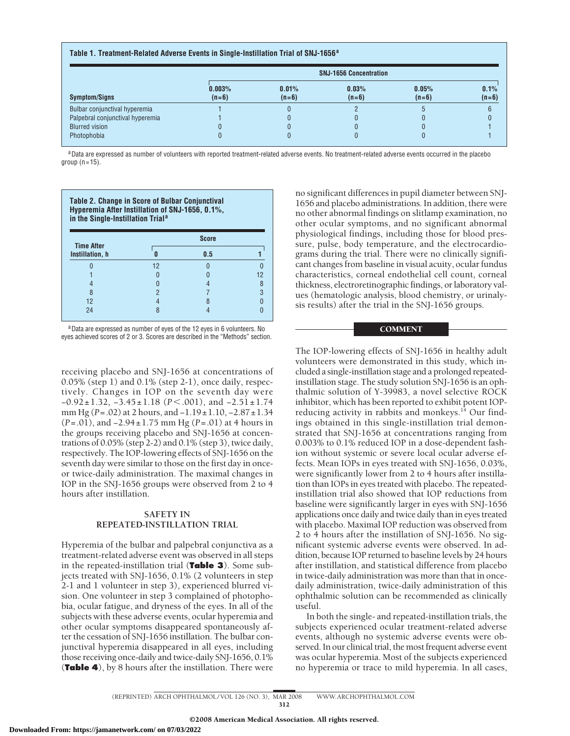| <b>Symptom/Signs</b>             | <b>SNJ-1656 Concentration</b> |                  |                  |                  |                 |
|----------------------------------|-------------------------------|------------------|------------------|------------------|-----------------|
|                                  | 0.003%<br>$(n=6)$             | 0.01%<br>$(n=6)$ | 0.03%<br>$(n=6)$ | 0.05%<br>$(n=6)$ | 0.1%<br>$(n=6)$ |
| Bulbar conjunctival hyperemia    |                               |                  |                  |                  |                 |
| Palpebral conjunctival hyperemia |                               |                  |                  |                  |                 |
| <b>Blurred vision</b>            |                               |                  |                  |                  |                 |
| Photophobia                      |                               |                  |                  |                  |                 |

aData are expressed as number of volunteers with reported treatment-related adverse events. No treatment-related adverse events occurred in the placebo group  $(n=15)$ .

| Table 2. Change in Score of Bulbar Conjunctival<br>Hyperemia After Instillation of SNJ-1656, 0.1%,<br>in the Single-Instillation Trial <sup>a</sup> |              |     |    |  |  |
|-----------------------------------------------------------------------------------------------------------------------------------------------------|--------------|-----|----|--|--|
| <b>Time After</b>                                                                                                                                   | <b>Score</b> |     |    |  |  |
| Instillation, h                                                                                                                                     |              | 0.5 |    |  |  |
|                                                                                                                                                     | 12           |     |    |  |  |
|                                                                                                                                                     |              |     | 12 |  |  |
|                                                                                                                                                     |              |     |    |  |  |
| 8                                                                                                                                                   |              |     |    |  |  |
| 12                                                                                                                                                  |              |     |    |  |  |
| 24                                                                                                                                                  |              |     |    |  |  |

aData are expressed as number of eyes of the 12 eyes in 6 volunteers. No eyes achieved scores of 2 or 3. Scores are described in the "Methods" section.

receiving placebo and SNJ-1656 at concentrations of 0.05% (step 1) and 0.1% (step 2-1), once daily, respectively. Changes in IOP on the seventh day were −0.92±1.32, −3.45±1.18 (*P*.001), and −2.51±1.74 mm Hg (*P*=.02) at 2 hours, and −1.19±1.10, −2.87±1.34 (*P*=.01), and −2.94±1.75 mm Hg (*P*=.01) at 4 hours in the groups receiving placebo and SNJ-1656 at concentrations of 0.05% (step 2-2) and 0.1% (step 3), twice daily, respectively. The IOP-lowering effects of SNJ-1656 on the seventh day were similar to those on the first day in onceor twice-daily administration. The maximal changes in IOP in the SNJ-1656 groups were observed from 2 to 4 hours after instillation.

# **SAFETY IN REPEATED-INSTILLATION TRIAL**

Hyperemia of the bulbar and palpebral conjunctiva as a treatment-related adverse event was observed in all steps in the repeated-instillation trial (**Table 3**). Some subjects treated with SNJ-1656, 0.1% (2 volunteers in step 2-1 and 1 volunteer in step 3), experienced blurred vision. One volunteer in step 3 complained of photophobia, ocular fatigue, and dryness of the eyes. In all of the subjects with these adverse events, ocular hyperemia and other ocular symptoms disappeared spontaneously after the cessation of SNJ-1656 instillation. The bulbar conjunctival hyperemia disappeared in all eyes, including those receiving once-daily and twice-daily SNJ-1656, 0.1% (**Table 4**), by 8 hours after the instillation. There were

no significant differences in pupil diameter between SNJ-1656 and placebo administrations. In addition, there were no other abnormal findings on slitlamp examination, no other ocular symptoms, and no significant abnormal physiological findings, including those for blood pressure, pulse, body temperature, and the electrocardiograms during the trial. There were no clinically significant changes from baseline in visual acuity, ocular fundus characteristics, corneal endothelial cell count, corneal thickness, electroretinographic findings, or laboratory values (hematologic analysis, blood chemistry, or urinalysis results) after the trial in the SNJ-1656 groups.

## **COMMENT**

The IOP-lowering effects of SNJ-1656 in healthy adult volunteers were demonstrated in this study, which included a single-instillation stage and a prolonged repeatedinstillation stage. The study solution SNJ-1656 is an ophthalmic solution of Y-39983, a novel selective ROCK inhibitor, which has been reported to exhibit potent IOPreducing activity in rabbits and monkeys.<sup>14</sup> Our findings obtained in this single-instillation trial demonstrated that SNJ-1656 at concentrations ranging from 0.003% to 0.1% reduced IOP in a dose-dependent fashion without systemic or severe local ocular adverse effects. Mean IOPs in eyes treated with SNJ-1656, 0.03%, were significantly lower from 2 to 4 hours after instillation than IOPs in eyes treated with placebo. The repeatedinstillation trial also showed that IOP reductions from baseline were significantly larger in eyes with SNJ-1656 applications once daily and twice daily than in eyes treated with placebo. Maximal IOP reduction was observed from 2 to 4 hours after the instillation of SNJ-1656. No significant systemic adverse events were observed. In addition, because IOP returned to baseline levels by 24 hours after instillation, and statistical difference from placebo in twice-daily administration was more than that in oncedaily administration, twice-daily administration of this ophthalmic solution can be recommended as clinically useful.

In both the single- and repeated-instillation trials, the subjects experienced ocular treatment-related adverse events, although no systemic adverse events were observed. In our clinical trial, the most frequent adverse event was ocular hyperemia. Most of the subjects experienced no hyperemia or trace to mild hyperemia. In all cases,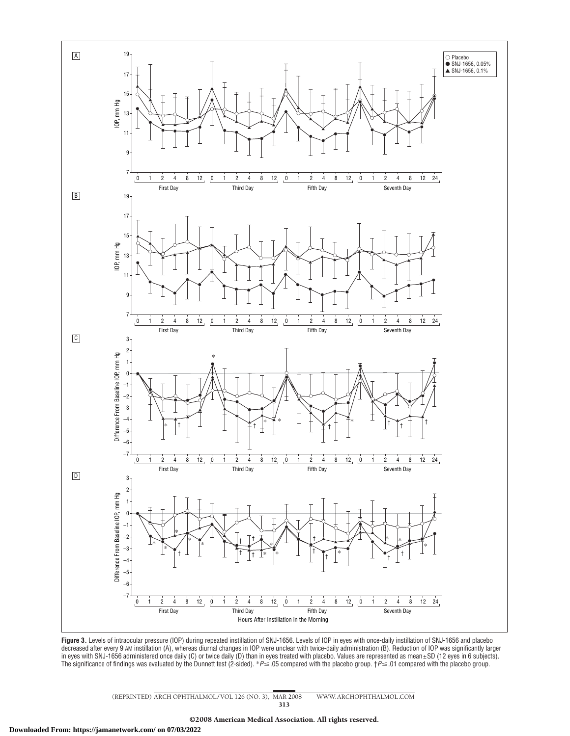

**Figure 3.** Levels of intraocular pressure (IOP) during repeated instillation of SNJ-1656. Levels of IOP in eyes with once-daily instillation of SNJ-1656 and placebo decreased after every 9 AM instillation (A), whereas diurnal changes in IOP were unclear with twice-daily administration (B). Reduction of IOP was significantly larger in eyes with SNJ-1656 administered once daily (C) or twice daily (D) than in eyes treated with placebo. Values are represented as mean±SD (12 eyes in 6 subjects). The significance of findings was evaluated by the Dunnett test (2-sided). \**P≤*.05 compared with the placebo group. †*P≤*.01 compared with the placebo group.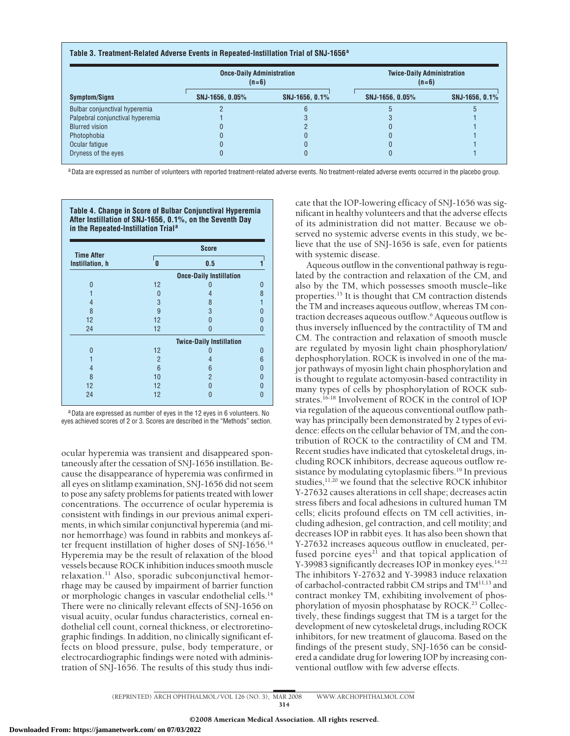## **Table 3. Treatment-Related Adverse Events in Repeated-Instillation Trial of SNJ-1656<sup>a</sup>**

| <b>Symptom/Signs</b>             | <b>Once-Daily Administration</b><br>$(n=6)$ |                | <b>Twice-Daily Administration</b><br>$(n=6)$ |                |
|----------------------------------|---------------------------------------------|----------------|----------------------------------------------|----------------|
|                                  | SNJ-1656, 0.05%                             | SNJ-1656, 0.1% | SNJ-1656, 0.05%                              | SNJ-1656, 0.1% |
| Bulbar conjunctival hyperemia    |                                             |                |                                              |                |
| Palpebral conjunctival hyperemia |                                             |                |                                              |                |
| <b>Blurred vision</b>            |                                             |                |                                              |                |
| Photophobia                      |                                             |                |                                              |                |
| Ocular fatique                   |                                             |                |                                              |                |
| Dryness of the eyes              |                                             |                |                                              |                |

aData are expressed as number of volunteers with reported treatment-related adverse events. No treatment-related adverse events occurred in the placebo group.

**Table 4. Change in Score of Bulbar Conjunctival Hyperemia After Instillation of SNJ-1656, 0.1%, on the Seventh Day in the Repeated-Instillation Trial<sup>a</sup>**

| <b>Time After</b> | <b>Score</b>   |                                 |   |  |
|-------------------|----------------|---------------------------------|---|--|
| Instillation, h   | 0              | 0.5                             |   |  |
|                   |                | <b>Once-Daily Instillation</b>  |   |  |
|                   | 12             |                                 |   |  |
|                   | N              | 4                               |   |  |
| 4                 | 3              | 8                               |   |  |
| 8                 | 9              | 3                               |   |  |
| 12                | 12             |                                 |   |  |
| 24                | 12             |                                 |   |  |
|                   |                | <b>Twice-Daily Instillation</b> |   |  |
| n                 | 12             |                                 | 0 |  |
|                   | $\overline{2}$ |                                 | 6 |  |
| 4                 | 6              | 6                               |   |  |
| 8                 | 10             | $\overline{2}$                  |   |  |
| 12                | 12             |                                 |   |  |
| 24                | 12             |                                 |   |  |

aData are expressed as number of eyes in the 12 eyes in 6 volunteers. No eyes achieved scores of 2 or 3. Scores are described in the "Methods" section.

ocular hyperemia was transient and disappeared spontaneously after the cessation of SNJ-1656 instillation. Because the disappearance of hyperemia was confirmed in all eyes on slitlamp examination, SNJ-1656 did not seem to pose any safety problems for patients treated with lower concentrations. The occurrence of ocular hyperemia is consistent with findings in our previous animal experiments, in which similar conjunctival hyperemia (and minor hemorrhage) was found in rabbits and monkeys after frequent instillation of higher doses of SNJ-1656.<sup>14</sup> Hyperemia may be the result of relaxation of the blood vessels because ROCK inhibition induces smooth muscle relaxation.<sup>11</sup> Also, sporadic subconjunctival hemorrhage may be caused by impairment of barrier function or morphologic changes in vascular endothelial cells.14 There were no clinically relevant effects of SNJ-1656 on visual acuity, ocular fundus characteristics, corneal endothelial cell count, corneal thickness, or electroretinographic findings. In addition, no clinically significant effects on blood pressure, pulse, body temperature, or electrocardiographic findings were noted with administration of SNJ-1656. The results of this study thus indi-

cate that the IOP-lowering efficacy of SNJ-1656 was significant in healthy volunteers and that the adverse effects of its administration did not matter. Because we observed no systemic adverse events in this study, we believe that the use of SNJ-1656 is safe, even for patients with systemic disease.

Aqueous outflow in the conventional pathway is regulated by the contraction and relaxation of the CM, and also by the TM, which possesses smooth muscle–like properties.<sup>15</sup> It is thought that CM contraction distends the TM and increases aqueous outflow, whereas TM contraction decreases aqueous outflow.6 Aqueous outflow is thus inversely influenced by the contractility of TM and CM. The contraction and relaxation of smooth muscle are regulated by myosin light chain phosphorylation/ dephosphorylation. ROCK is involved in one of the major pathways of myosin light chain phosphorylation and is thought to regulate actomyosin-based contractility in many types of cells by phosphorylation of ROCK substrates.16-18 Involvement of ROCK in the control of IOP via regulation of the aqueous conventional outflow pathway has principally been demonstrated by 2 types of evidence: effects on the cellular behavior of TM, and the contribution of ROCK to the contractility of CM and TM. Recent studies have indicated that cytoskeletal drugs, including ROCK inhibitors, decrease aqueous outflow resistance by modulating cytoplasmic fibers.<sup>19</sup> In previous studies,<sup>11,20</sup> we found that the selective ROCK inhibitor Y-27632 causes alterations in cell shape; decreases actin stress fibers and focal adhesions in cultured human TM cells; elicits profound effects on TM cell activities, including adhesion, gel contraction, and cell motility; and decreases IOP in rabbit eyes. It has also been shown that Y-27632 increases aqueous outflow in enucleated, perfused porcine eyes<sup>21</sup> and that topical application of Y-39983 significantly decreases IOP in monkey eyes.<sup>14,22</sup> The inhibitors Y-27632 and Y-39983 induce relaxation of carbachol-contracted rabbit CM strips and TM11,13 and contract monkey TM, exhibiting involvement of phosphorylation of myosin phosphatase by ROCK.<sup>23</sup> Collectively, these findings suggest that TM is a target for the development of new cytoskeletal drugs, including ROCK inhibitors, for new treatment of glaucoma. Based on the findings of the present study, SNJ-1656 can be considered a candidate drug for lowering IOP by increasing conventional outflow with few adverse effects.